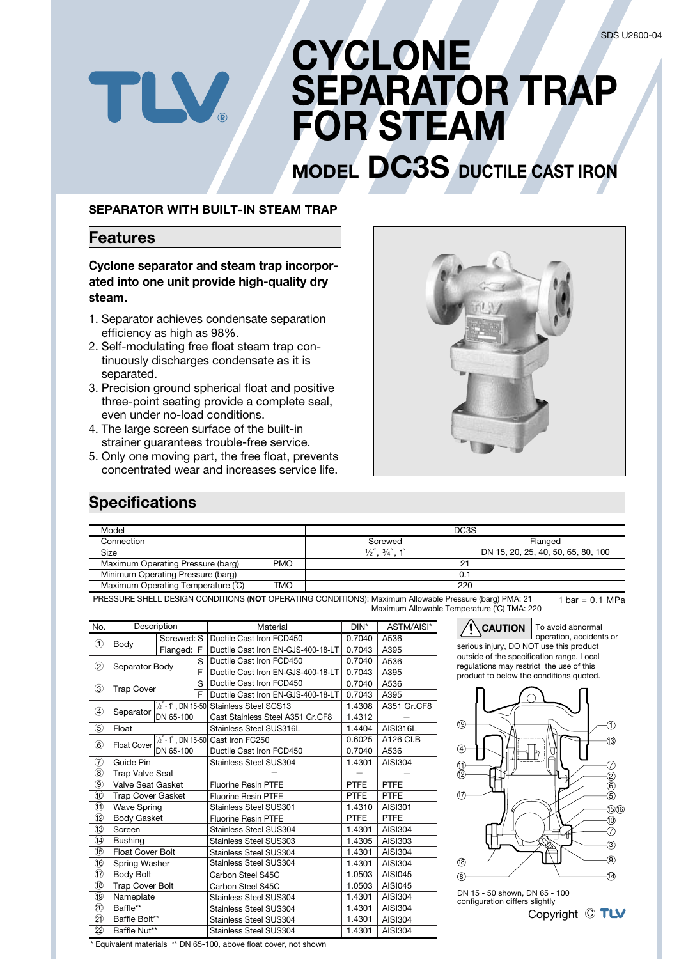# **CYCLONE SEPARATOR TRAP FOR STEAM**

# **MODEL DC3S DUCTILE CAST IRON**

#### **SEPARATOR WITH BUILT-IN STEAM TRAP**

FLV.

### **Features**

**Cyclone separator and steam trap incorporated into one unit provide high-quality dry steam.**

- 1. Separator achieves condensate separation efficiency as high as 98%.
- 2. Self-modulating free float steam trap continuously discharges condensate as it is separated.
- 3. Precision ground spherical float and positive three-point seating provide a complete seal, even under no-load conditions.
- 4. The large screen surface of the built-in strainer guarantees trouble-free service.
- 5. Only one moving part, the free float, prevents concentrated wear and increases service life.



### **Specifications**

| Model                             |            | DC3S                          |                                    |  |
|-----------------------------------|------------|-------------------------------|------------------------------------|--|
| Connection                        |            | Screwed                       | Flanged                            |  |
| Size                              |            | $\frac{1}{2}$ , $\frac{3}{4}$ | DN 15, 20, 25, 40, 50, 65, 80, 100 |  |
| Maximum Operating Pressure (barg) | <b>PMO</b> | 2.                            |                                    |  |
| Minimum Operating Pressure (barg) |            | 0.                            |                                    |  |
| Maximum Operating Temperature (C) | TMO        | 220                           |                                    |  |

PRESSURE SHELL DESIGN CONDITIONS (**NOT** OPERATING CONDITIONS): Maximum Allowable Pressure (barg) PMA: 21 Maximum Allowable Temperature (˚C) TMA: 220  $1 bar = 0.1 MPa$ 

| No.                       | Description                              |                              |   | Material                                           | $DIN^*$     | ASTM/AISI*      |  |
|---------------------------|------------------------------------------|------------------------------|---|----------------------------------------------------|-------------|-----------------|--|
| ➀                         |                                          | Screwed: S                   |   | Ductile Cast Iron FCD450                           | 0.7040      | A536            |  |
|                           | Body                                     | Flanged: F                   |   | Ductile Cast Iron EN-GJS-400-18-LT                 | 0.7043      | A395            |  |
|                           | $^{\circledR}$<br>Separator Body         |                              | S | Ductile Cast Iron FCD450                           | 0.7040      | A536            |  |
|                           |                                          |                              | F | Ductile Cast Iron EN-GJS-400-18-LT                 | 0.7043      | A395            |  |
| ③                         | <b>Trap Cover</b>                        |                              | S | Ductile Cast Iron FCD450                           | 0.7040      | A536            |  |
|                           |                                          |                              | F | Ductile Cast Iron EN-GJS-400-18-LT                 | 0.7043      | A395            |  |
| ④                         |                                          |                              |   | $\frac{1}{2}$ - 1", DN 15-50 Stainless Steel SCS13 | 1.4308      | A351 Gr.CF8     |  |
|                           | Separator                                | DN 65-100                    |   | Cast Stainless Steel A351 Gr.CF8                   | 1.4312      |                 |  |
| $^\circledS$              | Float                                    |                              |   | Stainless Steel SUS316L                            | 1.4404      | <b>AISI316L</b> |  |
|                           |                                          | $\frac{1}{2}$ - 1", DN 15-50 |   | Cast Iron FC250                                    | 0.6025      | A126 CI.B       |  |
|                           | $^\circledR$<br>Float Cover<br>DN 65-100 |                              |   | Ductile Cast Iron FCD450                           | 0.7040      | A536            |  |
| ℗                         | Guide Pin                                |                              |   | Stainless Steel SUS304                             | 1.4301      | AISI304         |  |
| ⑧                         | <b>Trap Valve Seat</b>                   |                              |   |                                                    |             |                 |  |
| ◉                         | Valve Seat Gasket                        |                              |   | <b>Fluorine Resin PTFE</b>                         | <b>PTFE</b> | <b>PTFE</b>     |  |
|                           | <b>Trap Cover Gasket</b>                 |                              |   | <b>Fluorine Resin PTFE</b>                         | <b>PTFE</b> | <b>PTFE</b>     |  |
| $^\circledR$              | <b>Wave Spring</b>                       |                              |   | <b>Stainless Steel SUS301</b>                      | 1.4310      | <b>AISI301</b>  |  |
| I2                        | <b>Body Gasket</b>                       |                              |   | <b>Fluorine Resin PTFE</b>                         | <b>PTFE</b> | <b>PTFE</b>     |  |
| $\bigcirc$                | Screen                                   |                              |   | <b>Stainless Steel SUS304</b>                      | 1.4301      | AISI304         |  |
| ⑭                         | <b>Bushing</b>                           |                              |   | <b>Stainless Steel SUS303</b>                      | 1.4305      | AISI303         |  |
| G)                        | <b>Float Cover Bolt</b>                  |                              |   | Stainless Steel SUS304                             | 1.4301      | AISI304         |  |
| O                         | Spring Washer                            |                              |   | Stainless Steel SUS304                             | 1.4301      | <b>AISI304</b>  |  |
| v                         | <b>Body Bolt</b>                         |                              |   | Carbon Steel S45C                                  | 1.0503      | <b>AISI045</b>  |  |
| 18                        | <b>Trap Cover Bolt</b>                   |                              |   | Carbon Steel S45C                                  | 1.0503      | <b>AISI045</b>  |  |
| 19                        | Nameplate                                |                              |   | <b>Stainless Steel SUS304</b>                      | 1.4301      | <b>AISI304</b>  |  |
| $\overline{\mathfrak{D}}$ | Baffle**                                 |                              |   | Stainless Steel SUS304                             | 1.4301      | AISI304         |  |
| ඞ                         | Baffle Bolt**                            |                              |   | <b>Stainless Steel SUS304</b>                      | 1.4301      | <b>AISI304</b>  |  |
| 22                        | Baffle Nut**                             |                              |   | <b>Stainless Steel SUS304</b>                      | 1.4301      | <b>AISI304</b>  |  |

**CAUTION** To avoid abnormal operation, accidents or serious injury, DO NOT use this product outside of the specification range. Local regulations may restrict the use of this product to below the conditions quoted.



Copyright  $\odot$  TLV DN 15 - 50 shown, DN 65 - 100 configuration differs slightly

\* Equivalent materials \*\* DN 65-100, above float cover, not shown